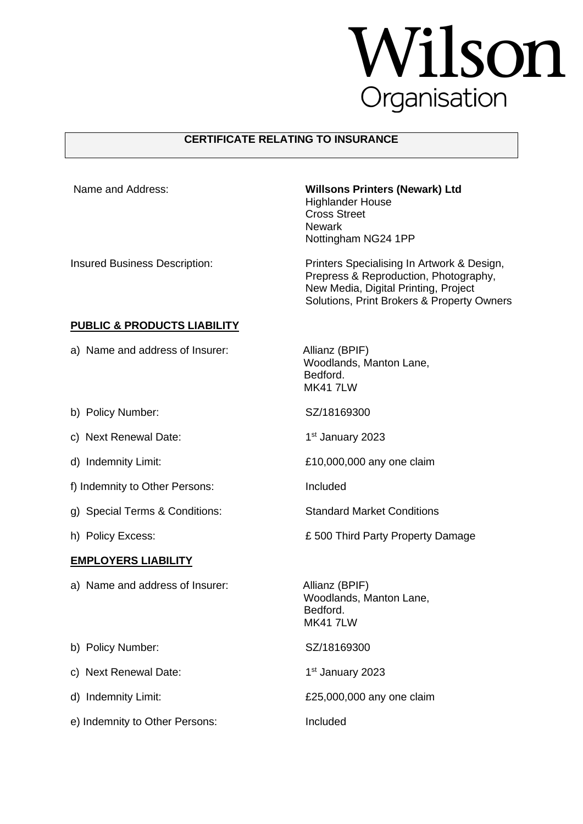## **Wilson**

## **CERTIFICATE RELATING TO INSURANCE**

| Name and Address:                      | <b>Willsons Printers (Newark) Ltd</b><br><b>Highlander House</b><br><b>Cross Street</b><br><b>Newark</b><br>Nottingham NG24 1PP                                           |
|----------------------------------------|---------------------------------------------------------------------------------------------------------------------------------------------------------------------------|
| <b>Insured Business Description:</b>   | Printers Specialising In Artwork & Design,<br>Prepress & Reproduction, Photography,<br>New Media, Digital Printing, Project<br>Solutions, Print Brokers & Property Owners |
| <b>PUBLIC &amp; PRODUCTS LIABILITY</b> |                                                                                                                                                                           |
| a) Name and address of Insurer:        | Allianz (BPIF)<br>Woodlands, Manton Lane,<br>Bedford.<br><b>MK41 7LW</b>                                                                                                  |
| b) Policy Number:                      | SZ/18169300                                                                                                                                                               |
| c) Next Renewal Date:                  | 1 <sup>st</sup> January 2023                                                                                                                                              |
| d) Indemnity Limit:                    | £10,000,000 any one claim                                                                                                                                                 |
| f) Indemnity to Other Persons:         | Included                                                                                                                                                                  |
| g) Special Terms & Conditions:         | <b>Standard Market Conditions</b>                                                                                                                                         |
| h) Policy Excess:                      | £500 Third Party Property Damage                                                                                                                                          |
| <b>EMPLOYERS LIABILITY</b>             |                                                                                                                                                                           |
| a) Name and address of Insurer:        | Allianz (BPIF)<br>Woodlands, Manton Lane,<br>Bedford.<br><b>MK417LW</b>                                                                                                   |
| b) Policy Number:                      | SZ/18169300                                                                                                                                                               |
| c) Next Renewal Date:                  | 1 <sup>st</sup> January 2023                                                                                                                                              |
| d) Indemnity Limit:                    | £25,000,000 any one claim                                                                                                                                                 |
| e) Indemnity to Other Persons:         | Included                                                                                                                                                                  |